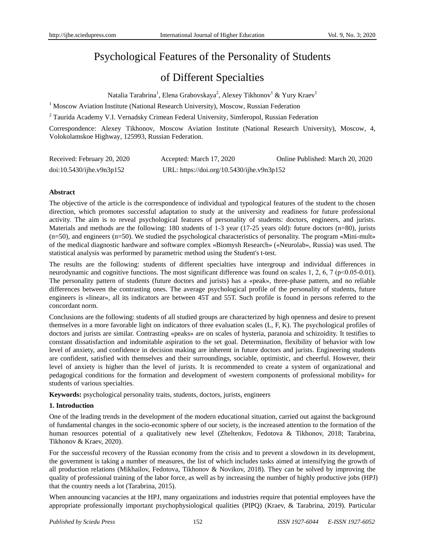# Psychological Features of the Personality of Students

## of Different Specialties

Natalia Tarabrina $^1$ , Elena Grabovskaya $^2$ , Alexey Tikhonov $^1$  & Yury Kraev $^1$ 

<sup>1</sup> Moscow Aviation Institute (National Research University), Moscow, Russian Federation

<sup>2</sup> Taurida Academy V.I. Vernadsky Crimean Federal University, Simferopol, Russian Federation

Correspondence: Alexey Tikhonov, Moscow Aviation Institute (National Research University), Moscow, 4, Volokolamskoe Highway, 125993, Russian Federation.

| Received: February 20, 2020  | Accepted: March 17, 2020                   | Online Published: March 20, 2020 |
|------------------------------|--------------------------------------------|----------------------------------|
| $doi:10.5430/ij$ he.v9n3p152 | URL: https://doi.org/10.5430/ijhe.v9n3p152 |                                  |

## **Abstract**

The objective of the article is the correspondence of individual and typological features of the student to the chosen direction, which promotes successful adaptation to study at the university and readiness for future professional activity. The aim is to reveal psychological features of personality of students: doctors, engineers, and jurists. Materials and methods are the following: 180 students of 1-3 year (17-25 years old): future doctors (n=80), jurists (n=50), and engineers (n=50). We studied the psychological characteristics of personality. The program «Mini-mult» of the medical diagnostic hardware and software complex «Biomysh Research» («Neurolab», Russia) was used. The statistical analysis was performed by parametric method using the Student's t-test.

The results are the following: students of different specialties have intergroup and individual differences in neurodynamic and cognitive functions. The most significant difference was found on scales 1, 2, 6, 7 ( $p<0.05-0.01$ ). The personality pattern of students (future doctors and jurists) has a «peak», three-phase pattern, and no reliable differences between the contrasting ones. The average psychological profile of the personality of students, future engineers is «linear», all its indicators are between 45T and 55T. Such profile is found in persons referred to the concordant norm.

Conclusions are the following: students of all studied groups are characterized by high openness and desire to present themselves in a more favorable light on indicators of three evaluation scales (L, F, K). The psychological profiles of doctors and jurists are similar. Contrasting «peaks» are on scales of hysteria, paranoia and schizoidity. It testifies to constant dissatisfaction and indomitable aspiration to the set goal. Determination, flexibility of behavior with low level of anxiety, and confidence in decision making are inherent in future doctors and jurists. Engineering students are confident, satisfied with themselves and their surroundings, sociable, optimistic, and cheerful. However, their level of anxiety is higher than the level of jurists. It is recommended to create a system of organizational and pedagogical conditions for the formation and development of «western components of professional mobility» for students of various specialties.

**Keywords:** psychological personality traits, students, doctors, jurists, engineers

## **1. Introduction**

One of the leading trends in the development of the modern educational situation, carried out against the background of fundamental changes in the socio-economic sphere of our society, is the increased attention to the formation of the human resources potential of a qualitatively new level (Zheltenkov, Fedotova & Tikhonov, 2018; Tarabrina, Tikhonov & Kraev, 2020).

For the successful recovery of the Russian economy from the crisis and to prevent a slowdown in its development, the government is taking a number of measures, the list of which includes tasks aimed at intensifying the growth of all production relations (Mikhailov, Fedotova, Tikhonov & Novikov, 2018). They can be solved by improving the quality of professional training of the labor force, as well as by increasing the number of highly productive jobs (HPJ) that the country needs a lot (Tarabrina, 2015).

When announcing vacancies at the HPJ, many organizations and industries require that potential employees have the appropriate professionally important psychophysiological qualities (PIPQ) (Kraev, & Tarabrina, 2019). Particular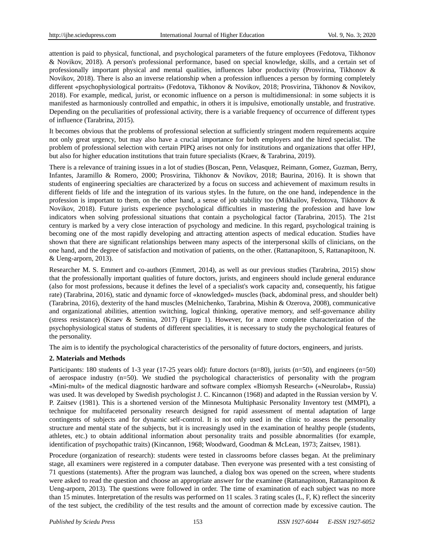attention is paid to physical, functional, and psychological parameters of the future employees (Fedotova, Tikhonov & Novikov, 2018). A person's professional performance, based on special knowledge, skills, and a certain set of professionally important physical and mental qualities, influences labor productivity (Prosvirina, Tikhonov & Novikov, 2018). There is also an inverse relationship when a profession influences a person by forming completely different «psychophysiological portraits» (Fedotova, Tikhonov & Novikov, 2018; Prosvirina, Tikhonov & Novikov, 2018). For example, medical, jurist, or economic influence on a person is multidimensional: in some subjects it is manifested as harmoniously controlled and empathic, in others it is impulsive, emotionally unstable, and frustrative. Depending on the peculiarities of professional activity, there is a variable frequency of occurrence of different types of influence (Tarabrina, 2015).

It becomes obvious that the problems of professional selection at sufficiently stringent modern requirements acquire not only great urgency, but may also have a crucial importance for both employers and the hired specialist. The problem of professional selection with certain PIPQ arises not only for institutions and organizations that offer HPJ, but also for higher education institutions that train future specialists (Kraev, & Tarabrina, 2019).

There is a relevance of training issues in a lot of studies (Boscan, Penn, Velasquez, Reimann, Gomez, Guzman, Berry, Infantes, Jaramillo & Romero, 2000; Prosvirina, Tikhonov & Novikov, 2018; Baurina, 2016). It is shown that students of engineering specialties are characterized by a focus on success and achievement of maximum results in different fields of life and the integration of its various styles. In the future, on the one hand, independence in the profession is important to them, on the other hand, a sense of job stability too (Mikhailov, Fedotova, Tikhonov & Novikov, 2018). Future jurists experience psychological difficulties in mastering the profession and have low indicators when solving professional situations that contain a psychological factor (Tarabrina, 2015). The 21st century is marked by a very close interaction of psychology and medicine. In this regard, psychological training is becoming one of the most rapidly developing and attracting attention aspects of medical education. Studies have shown that there are significant relationships between many aspects of the interpersonal skills of clinicians, on the one hand, and the degree of satisfaction and motivation of patients, on the other. (Rattanapitoon, S, Rattanapitoon, N. & Ueng-arporn, 2013).

Researcher M. S. Emmert and co-authors (Emmert, 2014), as well as our previous studies (Tarabrina, 2015) show that the professionally important qualities of future doctors, jurists, and engineers should include general endurance (also for most professions, because it defines the level of a specialist's work capacity and, consequently, his fatigue rate) (Tarabrina, 2016), static and dynamic force of «knowledged» muscles (back, abdominal press, and shoulder belt) (Tarabrina, 2016), dexterity of the hand muscles (Melnichenko, Tarabrina, Mishin & Ozerova, 2008), communicative and organizational abilities, attention switching, logical thinking, operative memory, and self-governance ability (stress resistance) (Kraev & Semina, 2017) (Figure 1). However, for a more complete characterization of the psychophysiological status of students of different specialities, it is necessary to study the psychological features of the personality.

The aim is to identify the psychological characteristics of the personality of future doctors, engineers, and jurists.

## **2. Materials and Methods**

Participants: 180 students of 1-3 year (17-25 years old): future doctors (n=80), jurists (n=50), and engineers (n=50) of aerospace industry (n=50). We studied the psychological characteristics of personality with the program «Mini-mult» of the medical diagnostic hardware and software complex «Biomysh Research» («Neurolab», Russia) was used. It was developed by Swedish psychologist J. C. Kincannon (1968) and adapted in the Russian version by V. P. Zaitsev (1981). This is a shortened version of the Minnesota Multiphasic Personality Inventory test (MMPI), a technique for multifaceted personality research designed for rapid assessment of mental adaptation of large contingents of subjects and for dynamic self-control. It is not only used in the clinic to assess the personality structure and mental state of the subjects, but it is increasingly used in the examination of healthy people (students, athletes, etc.) to obtain additional information about personality traits and possible abnormalities (for example, identification of psychopathic traits) (Kincannon, 1968; Woodward, Goodman & McLean, 1973; Zaitsev, 1981).

Procedure (organization of research): students were tested in classrooms before classes began. At the preliminary stage, all examiners were registered in a computer database. Then everyone was presented with a test consisting of 71 questions (statements). After the program was launched, a dialog box was opened on the screen, where students were asked to read the question and choose an appropriate answer for the examinee (Rattanapitoon, Rattanapitoon & Ueng-arporn, 2013). The questions were followed in order. The time of examination of each subject was no more than 15 minutes. Interpretation of the results was performed on 11 scales. 3 rating scales (L, F, K) reflect the sincerity of the test subject, the credibility of the test results and the amount of correction made by excessive caution. The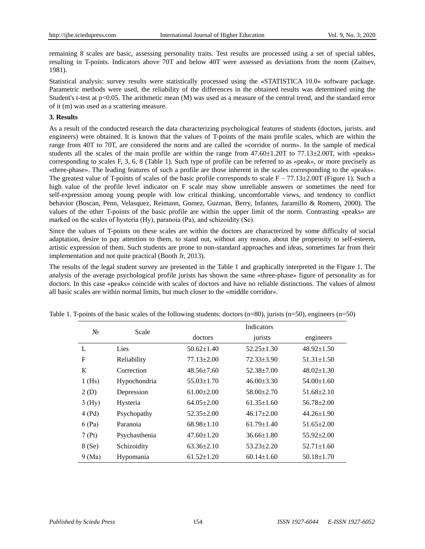remaining 8 scales are basic, assessing personality traits. Test results are processed using a set of special tables, resulting in T-points. Indicators above 70T and below 40T were assessed as deviations from the norm (Zaitsev, 1981).

Statistical analysis: survey results were statistically processed using the «STATISTICA 10.0» software package. Parametric methods were used, the reliability of the differences in the obtained results was determined using the Student's t-test at p<0.05. The arithmetic mean (M) was used as a measure of the central trend, and the standard error of it (m) was used as a scattering measure.

## **3. Results**

As a result of the conducted research the data characterizing psychological features of students (doctors, jurists. and engineers) were obtained. It is known that the values of T-points of the main profile scales, which are within the range from 40T to 70T, are considered the norm and are called the «corridor of norm». In the sample of medical students all the scales of the main profile are within the range from  $47.60 \pm 1.20$ T to  $77.13 \pm 2.00$ T, with «peaks» corresponding to scales F, 3, 6, 8 (Table 1). Such type of profile can be referred to as «peak», or more precisely as «three-phase». The leading features of such a profile are those inherent in the scales corresponding to the «peaks». The greatest value of T-points of scales of the basic profile corresponds to scale  $F - 77.13 \pm 2.00T$  (Figure 1). Such a high value of the profile level indicator on F scale may show unreliable answers or sometimes the need for self-expression among young people with low critical thinking, uncomfortable views, and tendency to conflict behavior (Boscan, Penn, Velasquez, Reimann, Gomez, Guzman, Berry, Infantes, Jaramillo & Romero, 2000). The values of the other T-points of the basic profile are within the upper limit of the norm. Contrasting «peaks» are marked on the scales of hysteria (Ну), paranoia (Ра), and schizoidity (Se).

Since the values of T-points on these scales are within the doctors are characterized by some difficulty of social adaptation, desire to pay attention to them, to stand out, without any reason, about the propensity to self-esteem, artistic expression of them. Such students are prone to non-standard approaches and ideas, sometimes far from their implementation and not quite practical (Booth Jr, 2013).

The results of the legal student survey are presented in the Table 1 and graphically interpreted in the Figure 1. The analysis of the average psychological profile jurists has shown the same «three-phase» figure of personality as for doctors. In this case «peaks» coincide with scales of doctors and have no reliable distinctions. The values of almost all basic scales are within normal limits, but much closer to the «middle corridor».

| $N_2$    | Scale         | <b>Indicators</b> |                  |                  |
|----------|---------------|-------------------|------------------|------------------|
|          |               | doctors           | jurists          | engineers        |
| L        | Lies          | $50.62 \pm 1.40$  | $52.25 \pm 1.30$ | $48.92 \pm 1.50$ |
| F        | Reliability   | $77.13 \pm 2.00$  | $72.33 \pm 3.90$ | $51.31 \pm 1.50$ |
| К        | Correction    | $48.56 \pm 7.60$  | $52.38 \pm 7.00$ | $48.02 \pm 1.30$ |
| $1$ (Hs) | Hypochondria  | $55.03 \pm 1.70$  | $46.00 \pm 3.30$ | $54.00 \pm 1.60$ |
| 2(D)     | Depression    | $61.00 \pm 2.00$  | $58.00 + 2.70$   | $51.68 \pm 2.10$ |
| 3(Hy)    | Hysteria      | $64.05 \pm 2.00$  | $61.35 \pm 1.60$ | $56.78 \pm 2.00$ |
| 4(Pd)    | Psychopathy   | $52.35 \pm 2.00$  | $46.17 \pm 2.00$ | $44.26 \pm 1.90$ |
| 6(Pa)    | Paranoia      | $68.98 \pm 1.10$  | $61.79 \pm 1.40$ | $51.65 \pm 2.00$ |
| 7(Pt)    | Psychasthenia | $47.60 \pm 1.20$  | $36.66 \pm 1.80$ | $55.92 \pm 2.00$ |
| 8 (Se)   | Schizoidity   | $63.36 \pm 2.10$  | $53.23 \pm 2.20$ | $52.71 \pm 1.60$ |
| 9(Ma)    | Hypomania     | $61.52 \pm 1.20$  | $60.14 \pm 1.60$ | $50.18 \pm 1.70$ |

Table 1. T-points of the basic scales of the following students: doctors (n=80), jurists (n=50), engineers (n=50)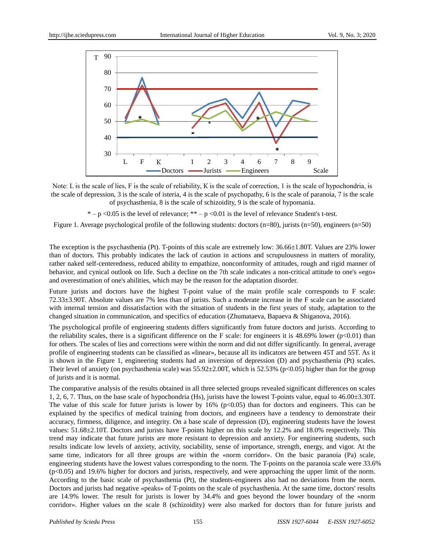

Note: L is the scale of lies, F is the scale of reliability, K is the scale of correction, 1 is the scale of hypochondria, is the scale of depression, 3 is the scale of isteria, 4 is the scale of psychopathy, 6 is the scale of paranoia, 7 is the scale of psychasthenia, 8 is the scale of schizoidity, 9 is the scale of hypomania.

 $* - p < 0.05$  is the level of relevance;  $** - p < 0.01$  is the level of relevance Student's t-test.

Figure 1. Average psychological profile of the following students: doctors (n=80), jurists (n=50), engineers (n=50)

The exception is the psychasthenia (Pt). T-points of this scale are extremely low:  $36.66 \pm 1.80$ T. Values are 23% lower than of doctors. This probably indicates the lack of caution in actions and scrupulousness in matters of morality, rather naked self-centeredness, reduced ability to empathize, nonconformity of attitudes, rough and rigid manner of behavior, and cynical outlook on life. Such a decline on the 7th scale indicates a non-critical attitude to one's «ego» and overestimation of one's abilities, which may be the reason for the adaptation disorder.

Future jurists and doctors have the highest T-point value of the main profile scale corresponds to F scale: 72.33±3.90T. Absolute values are 7% less than of jurists. Such a moderate increase in the F scale can be associated with internal tension and dissatisfaction with the situation of students in the first years of study, adaptation to the changed situation in communication, and specifics of education (Zhumataeva, Bapaeva & Shiganova, 2016).

The psychological profile of engineering students differs significantly from future doctors and jurists. According to the reliability scales, there is a significant difference on the F scale: for engineers it is 48.69% lower ( $p<0.01$ ) than for others. The scales of lies and corrections were within the norm and did not differ significantly. In general, average profile of engineering students can be classified as «linear», because all its indicators are between 45T and 55T. As it is shown in the Figure 1, engineering students had an inversion of depression (D) and psychasthenia (Pt) scales. Their level of anxiety (on psychasthenia scale) was  $55.92 \pm 2.00$ T, which is  $52.53\%$  (p<0.05) higher than for the group of jurists and it is normal.

The comparative analysis of the results obtained in all three selected groups revealed significant differences on scales 1, 2, 6, 7. Thus, on the base scale of hypochondria (Hs), jurists have the lowest T-points value, equal to  $46.00\pm3.30$ T. The value of this scale for future jurists is lower by  $16\%$  (p<0.05) than for doctors and engineers. This can be explained by the specifics of medical training from doctors, and engineers have a tendency to demonstrate their accuracy, firmness, diligence, and integrity. On a base scale of depression (D), engineering students have the lowest values: 51.68 $\pm$ 2.10T. Doctors and jurists have T-points higher on this scale by 12.2% and 18.0% respectively. This trend may indicate that future jurists are more resistant to depression and anxiety. For engineering students, such results indicate low levels of anxiety, activity, sociability, sense of importance, strength, energy, and vigor. At the same time, indicators for all three groups are within the «norm corridor». On the basic paranoia (Pa) scale, engineering students have the lowest values corresponding to the norm. The T-points on the paranoia scale were 33.6% (p<0.05) and 19.6% higher for doctors and jurists, respectively, and were approaching the upper limit of the norm. According to the basic scale of psychasthenia (Pt), the students-engineers also had no deviations from the norm. Doctors and jurists had negative «peaks» of T-points on the scale of psychasthenia. At the same time, doctors' results are 14.9% lower. The result for jurists is lower by 34.4% and goes beyond the lower boundary of the «norm corridor». Higher values on the scale 8 (schizoidity) were also marked for doctors than for future jurists and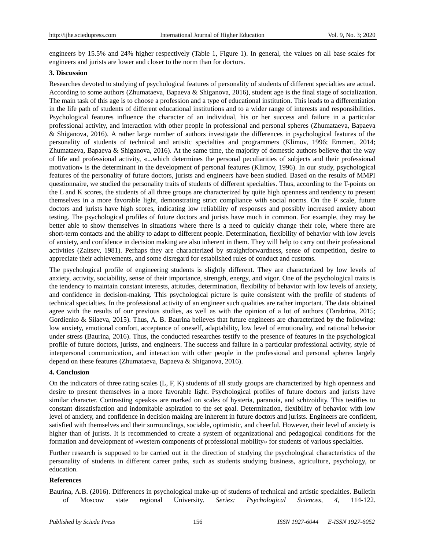engineers by 15.5% and 24% higher respectively (Table 1, Figure 1). In general, the values on all base scales for engineers and jurists are lower and closer to the norm than for doctors.

#### **3. Discussion**

Researches devoted to studying of psychological features of personality of students of different specialties are actual. According to some authors (Zhumataeva, Bapaeva & Shiganova, 2016), student age is the final stage of socialization. The main task of this age is to choose a profession and a type of educational institution. This leads to a differentiation in the life path of students of different educational institutions and to a wider range of interests and responsibilities. Psychological features influence the character of an individual, his or her success and failure in a particular professional activity, and interaction with other people in professional and personal spheres (Zhumataeva, Bapaeva & Shiganova, 2016). A rather large number of authors investigate the differences in psychological features of the personality of students of technical and artistic specialties and programmers (Klimov, 1996; Emmert, 2014; Zhumataeva, Bapaeva & Shiganova, 2016). At the same time, the majority of domestic authors believe that the way of life and professional activity, «...which determines the personal peculiarities of subjects and their professional motivation» is the determinant in the development of personal features (Klimov, 1996). In our study, psychological features of the personality of future doctors, jurists and engineers have been studied. Based on the results of MMPI questionnaire, we studied the personality traits of students of different specialties. Thus, according to the T-points on the L and K scores, the students of all three groups are characterized by quite high openness and tendency to present themselves in a more favorable light, demonstrating strict compliance with social norms. On the F scale, future doctors and jurists have high scores, indicating low reliability of responses and possibly increased anxiety about testing. The psychological profiles of future doctors and jurists have much in common. For example, they may be better able to show themselves in situations where there is a need to quickly change their role, where there are short-term contacts and the ability to adapt to different people. Determination, flexibility of behavior with low levels of anxiety, and confidence in decision making are also inherent in them. They will help to carry out their professional activities (Zaitsev, 1981). Perhaps they are characterized by straightforwardness, sense of competition, desire to appreciate their achievements, and some disregard for established rules of conduct and customs.

The psychological profile of engineering students is slightly different. They are characterized by low levels of anxiety, activity, sociability, sense of their importance, strength, energy, and vigor. One of the psychological traits is the tendency to maintain constant interests, attitudes, determination, flexibility of behavior with low levels of anxiety, and confidence in decision-making. This psychological picture is quite consistent with the profile of students of technical specialties. In the professional activity of an engineer such qualities are rather important. The data obtained agree with the results of our previous studies, as well as with the opinion of a lot of authors (Tarabrina, 2015; Gordienko & Silaeva, 2015). Thus, A. B. Baurina believes that future engineers are characterized by the following: low anxiety, emotional comfort, acceptance of oneself, adaptability, low level of emotionality, and rational behavior under stress (Baurina, 2016). Thus, the conducted researches testify to the presence of features in the psychological profile of future doctors, jurists, and engineers. The success and failure in a particular professional activity, style of interpersonal communication, and interaction with other people in the professional and personal spheres largely depend on these features (Zhumataeva, Bapaeva & Shiganova, 2016).

#### **4. Conclusion**

On the indicators of three rating scales (L, F, K) students of all study groups are characterized by high openness and desire to present themselves in a more favorable light. Psychological profiles of future doctors and jurists have similar character. Contrasting «peaks» are marked on scales of hysteria, paranoia, and schizoidity. This testifies to constant dissatisfaction and indomitable aspiration to the set goal. Determination, flexibility of behavior with low level of anxiety, and confidence in decision making are inherent in future doctors and jurists. Engineers are confident, satisfied with themselves and their surroundings, sociable, optimistic, and cheerful. However, their level of anxiety is higher than of jurists. It is recommended to create a system of organizational and pedagogical conditions for the formation and development of «western components of professional mobility» for students of various specialties.

Further research is supposed to be carried out in the direction of studying the psychological characteristics of the personality of students in different career paths, such as students studying business, agriculture, psychology, or education.

#### **References**

Baurina, A.B. (2016). Differences in psychological make-up of students of technical and artistic specialties. Bulletin of Moscow state regional University. *Series: Psychological Sciences, 4,* 114-122.